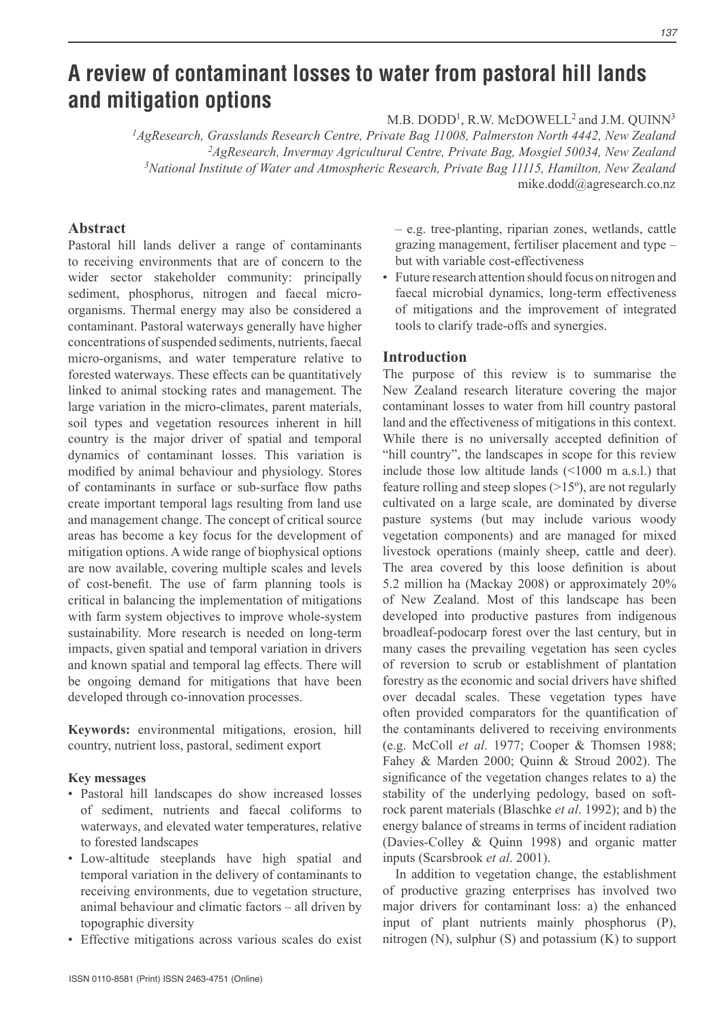# **A review of contaminant losses to water from pastoral hill lands and mitigation options**

 $M.B. DODD<sup>1</sup>, R.W.  $McDOWELL<sup>2</sup>$  and J.M.  $QUINN<sup>3</sup>$$ 

*AgResearch, Grasslands Research Centre, Private Bag 11008, Palmerston North 4442, New Zealand AgResearch, Invermay Agricultural Centre, Private Bag, Mosgiel 50034, New Zealand National Institute of Water and Atmospheric Research, Private Bag 11115, Hamilton, New Zealand* mike.dodd@agresearch.co.nz

## **Abstract**

Pastoral hill lands deliver a range of contaminants to receiving environments that are of concern to the wider sector stakeholder community: principally sediment, phosphorus, nitrogen and faecal microorganisms. Thermal energy may also be considered a contaminant. Pastoral waterways generally have higher concentrations of suspended sediments, nutrients, faecal micro-organisms, and water temperature relative to forested waterways. These effects can be quantitatively linked to animal stocking rates and management. The large variation in the micro-climates, parent materials, soil types and vegetation resources inherent in hill country is the major driver of spatial and temporal dynamics of contaminant losses. This variation is modified by animal behaviour and physiology. Stores of contaminants in surface or sub-surface flow paths create important temporal lags resulting from land use and management change. The concept of critical source areas has become a key focus for the development of mitigation options. A wide range of biophysical options are now available, covering multiple scales and levels of cost-benefit. The use of farm planning tools is critical in balancing the implementation of mitigations with farm system objectives to improve whole-system sustainability. More research is needed on long-term impacts, given spatial and temporal variation in drivers and known spatial and temporal lag effects. There will be ongoing demand for mitigations that have been developed through co-innovation processes.

**Keywords:** environmental mitigations, erosion, hill country, nutrient loss, pastoral, sediment export

#### **Key messages**

- Pastoral hill landscapes do show increased losses of sediment, nutrients and faecal coliforms to waterways, and elevated water temperatures, relative to forested landscapes
- Low-altitude steeplands have high spatial and temporal variation in the delivery of contaminants to receiving environments, due to vegetation structure, animal behaviour and climatic factors - all driven by topographic diversity
- Effective mitigations across various scales do exist

 $-$  e.g. tree-planting, riparian zones, wetlands, cattle grazing management, fertiliser placement and type  $$ but with variable cost-effectiveness

• Future research attention should focus on nitrogen and faecal microbial dynamics, long-term effectiveness of mitigations and the improvement of integrated tools to clarify trade-offs and synergies.

#### **Introduction**

The purpose of this review is to summarise the New Zealand research literature covering the major contaminant losses to water from hill country pastoral land and the effectiveness of mitigations in this context. While there is no universally accepted definition of "hill country", the landscapes in scope for this review include those low altitude lands (<1000 m a.s.l.) that feature rolling and steep slopes  $(>15^{\circ})$ , are not regularly cultivated on a large scale, are dominated by diverse pasture systems (but may include various woody vegetation components) and are managed for mixed livestock operations (mainly sheep, cattle and deer). The area covered by this loose definition is about 5.2 million ha (Mackay 2008) or approximately 20% of New Zealand. Most of this landscape has been developed into productive pastures from indigenous broadleaf-podocarp forest over the last century, but in many cases the prevailing vegetation has seen cycles of reversion to scrub or establishment of plantation forestry as the economic and social drivers have shifted over decadal scales. These vegetation types have often provided comparators for the quantification of the contaminants delivered to receiving environments (e.g. McColl *et al*. 1977; Cooper & Thomsen 1988; Fahey & Marden 2000; Quinn & Stroud 2002). The significance of the vegetation changes relates to a) the stability of the underlying pedology, based on softrock parent materials (Blaschke *et al*. 1992); and b) the energy balance of streams in terms of incident radiation (Davies-Colley & Quinn 1998) and organic matter inputs (Scarsbrook *et al*. 2001).

In addition to vegetation change, the establishment of productive grazing enterprises has involved two major drivers for contaminant loss: a) the enhanced input of plant nutrients mainly phosphorus (P), nitrogen (N), sulphur (S) and potassium (K) to support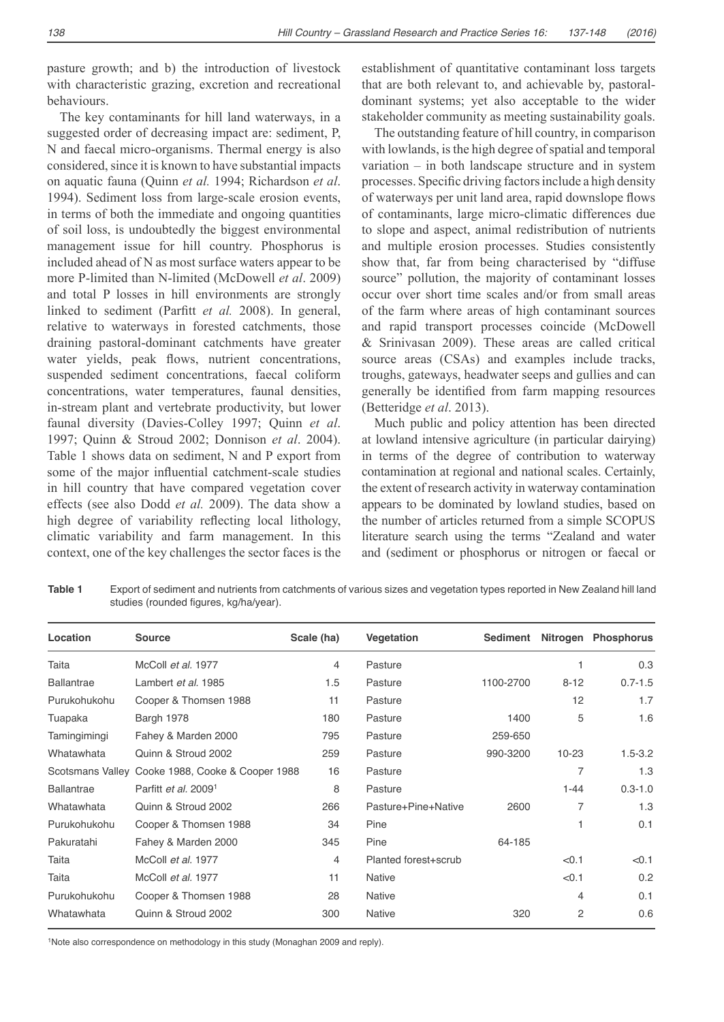pasture growth; and b) the introduction of livestock with characteristic grazing, excretion and recreational behaviours.

The key contaminants for hill land waterways, in a suggested order of decreasing impact are: sediment, P, N and faecal micro-organisms. Thermal energy is also considered, since it is known to have substantial impacts on aquatic fauna (Quinn *et al.* 1994; Richardson *et al*. 1994). Sediment loss from large-scale erosion events, in terms of both the immediate and ongoing quantities of soil loss, is undoubtedly the biggest environmental management issue for hill country. Phosphorus is included ahead of N as most surface waters appear to be more P-limited than N-limited (McDowell *et al*. 2009) and total P losses in hill environments are strongly linked to sediment (Parfitt et al. 2008). In general, relative to waterways in forested catchments, those draining pastoral-dominant catchments have greater water yields, peak flows, nutrient concentrations, suspended sediment concentrations, faecal coliform concentrations, water temperatures, faunal densities, in-stream plant and vertebrate productivity, but lower faunal diversity (Davies-Colley 1997; Quinn *et al*. 1997; Quinn & Stroud 2002; Donnison *et al*. 2004). Table 1 shows data on sediment, N and P export from some of the major influential catchment-scale studies in hill country that have compared vegetation cover effects (see also Dodd *et al.* 2009). The data show a high degree of variability reflecting local lithology, climatic variability and farm management. In this context, one of the key challenges the sector faces is the establishment of quantitative contaminant loss targets that are both relevant to, and achievable by, pastoraldominant systems; yet also acceptable to the wider stakeholder community as meeting sustainability goals.

The outstanding feature of hill country, in comparison with lowlands, is the high degree of spatial and temporal variation  $-$  in both landscape structure and in system processes. Specific driving factors include a high density of waterways per unit land area, rapid downslope flows of contaminants, large micro-climatic differences due to slope and aspect, animal redistribution of nutrients and multiple erosion processes. Studies consistently show that, far from being characterised by "diffuse source" pollution, the majority of contaminant losses occur over short time scales and/or from small areas of the farm where areas of high contaminant sources and rapid transport processes coincide (McDowell & Srinivasan 2009). These areas are called critical source areas (CSAs) and examples include tracks, troughs, gateways, headwater seeps and gullies and can generally be identified from farm mapping resources (Betteridge *et al*. 2013).

Much public and policy attention has been directed at lowland intensive agriculture (in particular dairying) in terms of the degree of contribution to waterway contamination at regional and national scales. Certainly, the extent of research activity in waterway contamination appears to be dominated by lowland studies, based on the number of articles returned from a simple SCOPUS literature search using the terms "Zealand and water and (sediment or phosphorus or nitrogen or faecal or

**Table 1** Export of sediment and nutrients from catchments of various sizes and vegetation types reported in New Zealand hill land studies (rounded figures, kg/ha/year).

| Location          | Source                           | Scale (ha) | Vegetation           | Sediment  |                | Nitrogen Phosphorus |
|-------------------|----------------------------------|------------|----------------------|-----------|----------------|---------------------|
| Taita             | McColl et al. 1977               | 4          | Pasture              |           | 1              | 0.3                 |
| <b>Ballantrae</b> | Lambert et al. 1985              | 1.5        | Pasture              | 1100-2700 | $8 - 12$       | $0.7 - 1.5$         |
| Purukohukohu      | Cooper & Thomsen 1988            | 11         | Pasture              |           | 12             | 1.7                 |
| Tuapaka           | Bargh 1978                       | 180        | Pasture              | 1400      | 5              | 1.6                 |
| Tamingimingi      | Fahey & Marden 2000              | 795        | Pasture              | 259-650   |                |                     |
| Whatawhata        | Quinn & Stroud 2002              | 259        | Pasture              | 990-3200  | $10 - 23$      | $1.5 - 3.2$         |
| Scotsmans Valley  | Cooke 1988, Cooke & Cooper 1988  | 16         | Pasture              |           | 7              | 1.3                 |
| <b>Ballantrae</b> | Parfitt et al. 2009 <sup>1</sup> | 8          | Pasture              |           | $1 - 44$       | $0.3 - 1.0$         |
| Whatawhata        | Quinn & Stroud 2002              | 266        | Pasture+Pine+Native  | 2600      | $\overline{7}$ | 1.3                 |
| Purukohukohu      | Cooper & Thomsen 1988            | 34         | Pine                 |           | 1              | 0.1                 |
| Pakuratahi        | Fahey & Marden 2000              | 345        | Pine                 | 64-185    |                |                     |
| Taita             | McColl et al. 1977               | 4          | Planted forest+scrub |           | < 0.1          | < 0.1               |
| Taita             | McColl et al. 1977               | 11         | <b>Native</b>        |           | < 0.1          | 0.2                 |
| Purukohukohu      | Cooper & Thomsen 1988            | 28         | Native               |           | 4              | 0.1                 |
| Whatawhata        | Quinn & Stroud 2002              | 300        | Native               | 320       | $\overline{c}$ | 0.6                 |

<sup>1</sup>Note also correspondence on methodology in this study (Monaghan 2009 and reply).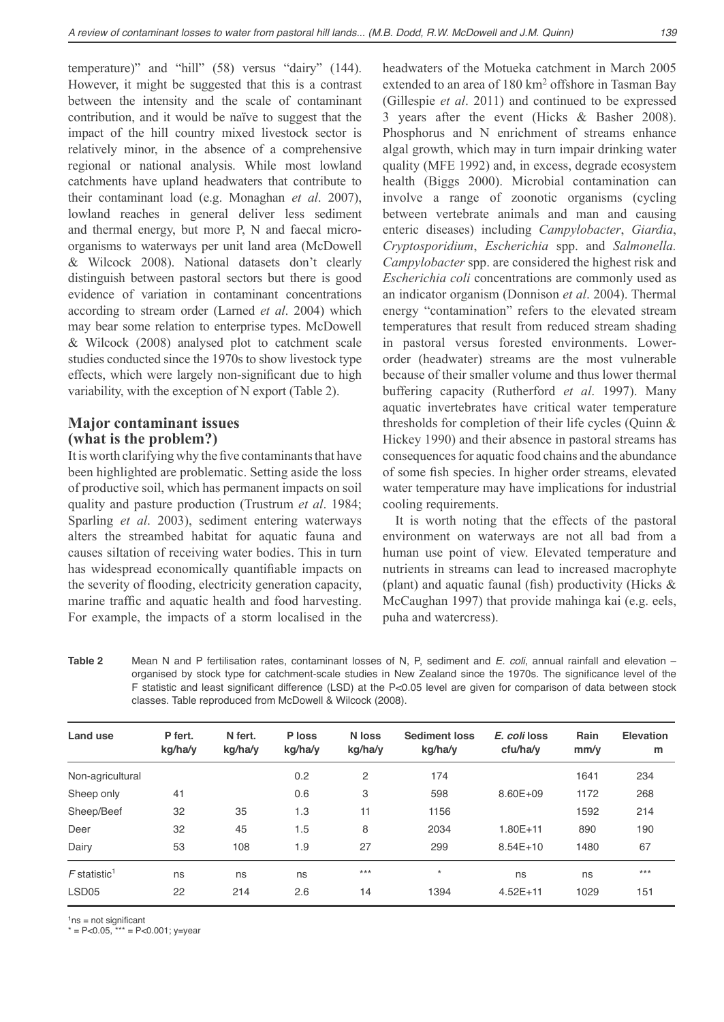temperature)" and "hill" (58) versus "dairy" (144). However, it might be suggested that this is a contrast between the intensity and the scale of contaminant contribution, and it would be naïve to suggest that the impact of the hill country mixed livestock sector is relatively minor, in the absence of a comprehensive regional or national analysis. While most lowland catchments have upland headwaters that contribute to their contaminant load (e.g. Monaghan *et al*. 2007), lowland reaches in general deliver less sediment and thermal energy, but more P, N and faecal microorganisms to waterways per unit land area (McDowell & Wilcock 2008). National datasets don't clearly distinguish between pastoral sectors but there is good evidence of variation in contaminant concentrations according to stream order (Larned *et al*. 2004) which may bear some relation to enterprise types. McDowell & Wilcock (2008) analysed plot to catchment scale studies conducted since the 1970s to show livestock type effects, which were largely non-significant due to high variability, with the exception of N export (Table 2).

# **Major contaminant issues (what is the problem?)**

It is worth clarifying why the five contaminants that have been highlighted are problematic. Setting aside the loss of productive soil, which has permanent impacts on soil quality and pasture production (Trustrum *et al*. 1984; Sparling *et al*. 2003), sediment entering waterways alters the streambed habitat for aquatic fauna and causes siltation of receiving water bodies. This in turn has widespread economically quantifiable impacts on the severity of flooding, electricity generation capacity, marine traffic and aquatic health and food harvesting. For example, the impacts of a storm localised in the

headwaters of the Motueka catchment in March 2005 extended to an area of 180 km<sup>2</sup> offshore in Tasman Bay (Gillespie *et al*. 2011) and continued to be expressed 3 years after the event (Hicks & Basher 2008). Phosphorus and N enrichment of streams enhance algal growth, which may in turn impair drinking water quality (MFE 1992) and, in excess, degrade ecosystem health (Biggs 2000). Microbial contamination can involve a range of zoonotic organisms (cycling between vertebrate animals and man and causing enteric diseases) including *Campylobacter*, *Giardia*, *Cryptosporidium*, *Escherichia* spp. and *Salmonella. Campylobacter* spp. are considered the highest risk and *Escherichia coli* concentrations are commonly used as an indicator organism (Donnison *et al*. 2004). Thermal energy "contamination" refers to the elevated stream temperatures that result from reduced stream shading in pastoral versus forested environments. Lowerorder (headwater) streams are the most vulnerable because of their smaller volume and thus lower thermal buffering capacity (Rutherford *et al*. 1997). Many aquatic invertebrates have critical water temperature thresholds for completion of their life cycles (Quinn & Hickey 1990) and their absence in pastoral streams has consequences for aquatic food chains and the abundance of some fish species. In higher order streams, elevated water temperature may have implications for industrial cooling requirements.

It is worth noting that the effects of the pastoral environment on waterways are not all bad from a human use point of view. Elevated temperature and nutrients in streams can lead to increased macrophyte (plant) and aquatic faunal (fish) productivity (Hicks  $\&$ McCaughan 1997) that provide mahinga kai (e.g. eels, puha and watercress).

**Table 2** Mean N and P fertilisation rates, contaminant losses of N, P, sediment and E. coli, annual rainfall and elevation – organised by stock type for catchment-scale studies in New Zealand since the 1970s. The significance level of the F statistic and least significant difference (LSD) at the P<0.05 level are given for comparison of data between stock classes. Table reproduced from McDowell & Wilcock (2008).

| Land use                   | P fert.<br>kg/ha/y | N fert.<br>kg/ha/y | P loss<br>kg/ha/y | N loss<br>kg/ha/y | <b>Sediment loss</b><br>kg/ha/y | E. coli loss<br>cfu/ha/v | Rain<br>mm/v | Elevation<br>m |
|----------------------------|--------------------|--------------------|-------------------|-------------------|---------------------------------|--------------------------|--------------|----------------|
| Non-agricultural           |                    |                    | 0.2               | 2                 | 174                             |                          | 1641         | 234            |
| Sheep only                 | 41                 |                    | 0.6               | 3                 | 598                             | 8.60E+09                 | 1172         | 268            |
| Sheep/Beef                 | 32                 | 35                 | 1.3               | 11                | 1156                            |                          | 1592         | 214            |
| Deer                       | 32                 | 45                 | 1.5               | 8                 | 2034                            | $1.80E + 11$             | 890          | 190            |
| Dairy                      | 53                 | 108                | 1.9               | 27                | 299                             | $8.54E+10$               | 1480         | 67             |
| $F$ statistic <sup>1</sup> | ns                 | ns                 | ns                | $***$             | $\star$                         | ns                       | ns           | $***$          |
| LSD <sub>05</sub>          | 22                 | 214                | 2.6               | 14                | 1394                            | $4.52E + 11$             | 1029         | 151            |
|                            |                    |                    |                   |                   |                                 |                          |              |                |

 $1ns = not$  significant

 $* = P < 0.05$ ,  $** = P < 0.001$ ; y=year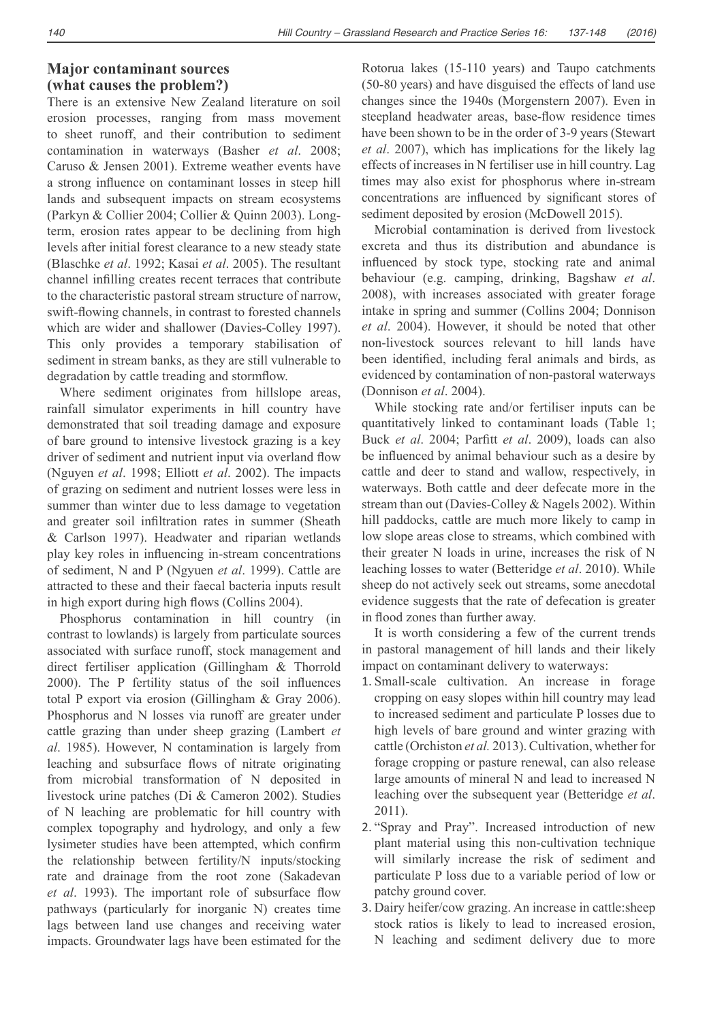# **Major contaminant sources (what causes the problem?)**

There is an extensive New Zealand literature on soil erosion processes, ranging from mass movement to sheet runoff, and their contribution to sediment contamination in waterways (Basher *et al*. 2008; Caruso & Jensen 2001). Extreme weather events have a strong influence on contaminant losses in steep hill lands and subsequent impacts on stream ecosystems (Parkyn & Collier 2004; Collier & Quinn 2003). Longterm, erosion rates appear to be declining from high levels after initial forest clearance to a new steady state (Blaschke *et al*. 1992; Kasai *et al*. 2005). The resultant channel infilling creates recent terraces that contribute to the characteristic pastoral stream structure of narrow, swift-flowing channels, in contrast to forested channels which are wider and shallower (Davies-Colley 1997). This only provides a temporary stabilisation of sediment in stream banks, as they are still vulnerable to degradation by cattle treading and stormflow.

Where sediment originates from hillslope areas, rainfall simulator experiments in hill country have demonstrated that soil treading damage and exposure of bare ground to intensive livestock grazing is a key driver of sediment and nutrient input via overland flow (Nguyen *et al*. 1998; Elliott *et al*. 2002). The impacts of grazing on sediment and nutrient losses were less in summer than winter due to less damage to vegetation and greater soil infiltration rates in summer (Sheath & Carlson 1997). Headwater and riparian wetlands play key roles in influencing in-stream concentrations of sediment, N and P (Ngyuen *et al*. 1999). Cattle are attracted to these and their faecal bacteria inputs result in high export during high flows (Collins 2004).

Phosphorus contamination in hill country (in contrast to lowlands) is largely from particulate sources associated with surface runoff, stock management and direct fertiliser application (Gillingham & Thorrold 2000). The P fertility status of the soil influences total P export via erosion (Gillingham & Gray 2006). Phosphorus and N losses via runoff are greater under cattle grazing than under sheep grazing (Lambert *et al*. 1985). However, N contamination is largely from leaching and subsurface flows of nitrate originating from microbial transformation of N deposited in livestock urine patches (Di & Cameron 2002). Studies of N leaching are problematic for hill country with complex topography and hydrology, and only a few lysimeter studies have been attempted, which confirm the relationship between fertility/N inputs/stocking rate and drainage from the root zone (Sakadevan et al. 1993). The important role of subsurface flow pathways (particularly for inorganic N) creates time lags between land use changes and receiving water impacts. Groundwater lags have been estimated for the Rotorua lakes (15-110 years) and Taupo catchments (50-80 years) and have disguised the effects of land use changes since the 1940s (Morgenstern 2007). Even in steepland headwater areas, base-flow residence times have been shown to be in the order of 3-9 years (Stewart *et al*. 2007), which has implications for the likely lag effects of increases in N fertiliser use in hill country. Lag times may also exist for phosphorus where in-stream concentrations are influenced by significant stores of sediment deposited by erosion (McDowell 2015).

Microbial contamination is derived from livestock excreta and thus its distribution and abundance is influenced by stock type, stocking rate and animal behaviour (e.g. camping, drinking, Bagshaw *et al*. 2008), with increases associated with greater forage intake in spring and summer (Collins 2004; Donnison *et al*. 2004). However, it should be noted that other non-livestock sources relevant to hill lands have been identified, including feral animals and birds, as evidenced by contamination of non-pastoral waterways (Donnison *et al*. 2004).

While stocking rate and/or fertiliser inputs can be quantitatively linked to contaminant loads (Table 1; Buck *et al.* 2004; Parfitt *et al.* 2009), loads can also be influenced by animal behaviour such as a desire by cattle and deer to stand and wallow, respectively, in waterways. Both cattle and deer defecate more in the stream than out (Davies-Colley & Nagels 2002). Within hill paddocks, cattle are much more likely to camp in low slope areas close to streams, which combined with their greater N loads in urine, increases the risk of N leaching losses to water (Betteridge *et al*. 2010). While sheep do not actively seek out streams, some anecdotal evidence suggests that the rate of defecation is greater in flood zones than further away.

It is worth considering a few of the current trends in pastoral management of hill lands and their likely impact on contaminant delivery to waterways:

- 1. Small-scale cultivation. An increase in forage cropping on easy slopes within hill country may lead to increased sediment and particulate P losses due to high levels of bare ground and winter grazing with cattle (Orchiston *et al.* 2013). Cultivation, whether for forage cropping or pasture renewal, can also release large amounts of mineral N and lead to increased N leaching over the subsequent year (Betteridge *et al*. 2011).
- 2. "Spray and Pray". Increased introduction of new plant material using this non-cultivation technique will similarly increase the risk of sediment and particulate P loss due to a variable period of low or patchy ground cover.
- 3. Dairy heifer/cow grazing. An increase in cattle:sheep stock ratios is likely to lead to increased erosion, N leaching and sediment delivery due to more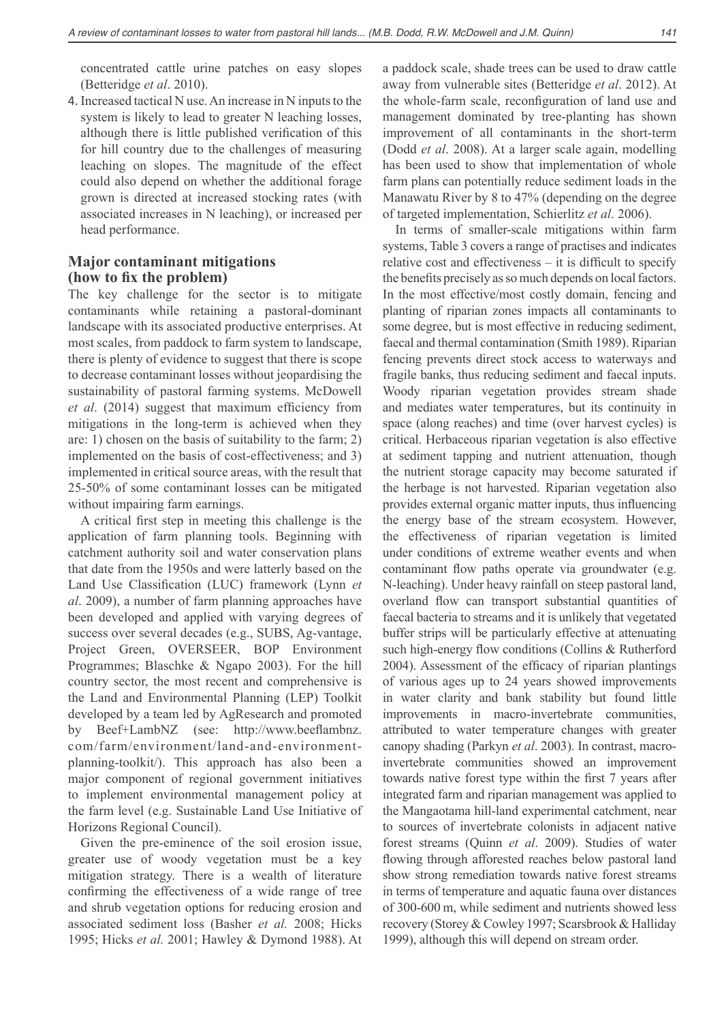concentrated cattle urine patches on easy slopes (Betteridge *et al*. 2010).

4. Increased tactical N use. An increase in N inputs to the system is likely to lead to greater N leaching losses, although there is little published verification of this for hill country due to the challenges of measuring leaching on slopes. The magnitude of the effect could also depend on whether the additional forage grown is directed at increased stocking rates (with associated increases in N leaching), or increased per head performance.

# **Major contaminant mitigations**  (how to fix the problem)

The key challenge for the sector is to mitigate contaminants while retaining a pastoral-dominant landscape with its associated productive enterprises. At most scales, from paddock to farm system to landscape, there is plenty of evidence to suggest that there is scope to decrease contaminant losses without jeopardising the sustainability of pastoral farming systems. McDowell *et al.* (2014) suggest that maximum efficiency from mitigations in the long-term is achieved when they are: 1) chosen on the basis of suitability to the farm; 2) implemented on the basis of cost-effectiveness; and 3) implemented in critical source areas, with the result that 25-50% of some contaminant losses can be mitigated without impairing farm earnings.

A critical first step in meeting this challenge is the application of farm planning tools. Beginning with catchment authority soil and water conservation plans that date from the 1950s and were latterly based on the Land Use Classification (LUC) framework (Lynn et *al*. 2009), a number of farm planning approaches have been developed and applied with varying degrees of success over several decades (e.g., SUBS, Ag-vantage, Project Green, OVERSEER, BOP Environment Programmes; Blaschke & Ngapo 2003). For the hill country sector, the most recent and comprehensive is the Land and Environmental Planning (LEP) Toolkit developed by a team led by AgResearch and promoted by Beef+LambNZ (see: http://www.beeflambnz. com/farm/environment/land-and-environmentplanning-toolkit/). This approach has also been a major component of regional government initiatives to implement environmental management policy at the farm level (e.g. Sustainable Land Use Initiative of Horizons Regional Council).

Given the pre-eminence of the soil erosion issue, greater use of woody vegetation must be a key mitigation strategy. There is a wealth of literature confirming the effectiveness of a wide range of tree and shrub vegetation options for reducing erosion and associated sediment loss (Basher *et al.* 2008; Hicks 1995; Hicks *et al.* 2001; Hawley & Dymond 1988). At

a paddock scale, shade trees can be used to draw cattle away from vulnerable sites (Betteridge *et al*. 2012). At the whole-farm scale, reconfiguration of land use and management dominated by tree-planting has shown improvement of all contaminants in the short-term (Dodd *et al*. 2008). At a larger scale again, modelling has been used to show that implementation of whole farm plans can potentially reduce sediment loads in the Manawatu River by 8 to 47% (depending on the degree of targeted implementation, Schierlitz *et al*. 2006).

In terms of smaller-scale mitigations within farm systems, Table 3 covers a range of practises and indicates relative cost and effectiveness  $-$  it is difficult to specify the benefits precisely as so much depends on local factors. In the most effective/most costly domain, fencing and planting of riparian zones impacts all contaminants to some degree, but is most effective in reducing sediment, faecal and thermal contamination (Smith 1989). Riparian fencing prevents direct stock access to waterways and fragile banks, thus reducing sediment and faecal inputs. Woody riparian vegetation provides stream shade and mediates water temperatures, but its continuity in space (along reaches) and time (over harvest cycles) is critical. Herbaceous riparian vegetation is also effective at sediment tapping and nutrient attenuation, though the nutrient storage capacity may become saturated if the herbage is not harvested. Riparian vegetation also provides external organic matter inputs, thus influencing the energy base of the stream ecosystem. However, the effectiveness of riparian vegetation is limited under conditions of extreme weather events and when contaminant flow paths operate via groundwater (e.g. N-leaching). Under heavy rainfall on steep pastoral land, overland flow can transport substantial quantities of faecal bacteria to streams and it is unlikely that vegetated buffer strips will be particularly effective at attenuating such high-energy flow conditions (Collins  $& Rutherford$ 2004). Assessment of the efficacy of riparian plantings of various ages up to 24 years showed improvements in water clarity and bank stability but found little improvements in macro-invertebrate communities, attributed to water temperature changes with greater canopy shading (Parkyn *et al*. 2003). In contrast, macroinvertebrate communities showed an improvement towards native forest type within the first 7 years after integrated farm and riparian management was applied to the Mangaotama hill-land experimental catchment, near to sources of invertebrate colonists in adjacent native forest streams (Quinn *et al*. 2009). Studies of water flowing through afforested reaches below pastoral land show strong remediation towards native forest streams in terms of temperature and aquatic fauna over distances of 300-600 m, while sediment and nutrients showed less recovery (Storey & Cowley 1997; Scarsbrook & Halliday 1999), although this will depend on stream order.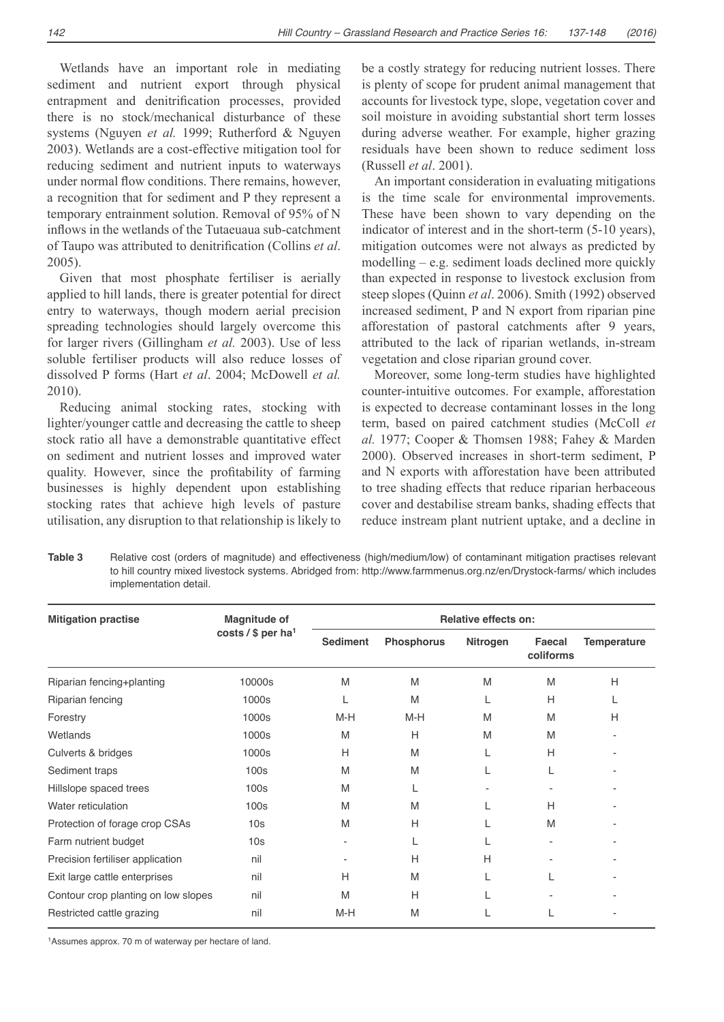142

Wetlands have an important role in mediating sediment and nutrient export through physical entrapment and denitrification processes, provided there is no stock/mechanical disturbance of these systems (Nguyen *et al.* 1999; Rutherford & Nguyen 2003). Wetlands are a cost-effective mitigation tool for reducing sediment and nutrient inputs to waterways under normal flow conditions. There remains, however, a recognition that for sediment and P they represent a temporary entrainment solution. Removal of 95% of N inflows in the wetlands of the Tutaeuaua sub-catchment of Taupo was attributed to denitrification (Collins et al.) 2005).

Given that most phosphate fertiliser is aerially applied to hill lands, there is greater potential for direct entry to waterways, though modern aerial precision spreading technologies should largely overcome this for larger rivers (Gillingham *et al.* 2003). Use of less soluble fertiliser products will also reduce losses of dissolved P forms (Hart *et al*. 2004; McDowell *et al.* 2010).

Reducing animal stocking rates, stocking with lighter/younger cattle and decreasing the cattle to sheep stock ratio all have a demonstrable quantitative effect on sediment and nutrient losses and improved water quality. However, since the profitability of farming businesses is highly dependent upon establishing stocking rates that achieve high levels of pasture utilisation, any disruption to that relationship is likely to be a costly strategy for reducing nutrient losses. There is plenty of scope for prudent animal management that accounts for livestock type, slope, vegetation cover and soil moisture in avoiding substantial short term losses during adverse weather. For example, higher grazing residuals have been shown to reduce sediment loss (Russell *et al*. 2001).

An important consideration in evaluating mitigations is the time scale for environmental improvements. These have been shown to vary depending on the indicator of interest and in the short-term (5-10 years), mitigation outcomes were not always as predicted by modelling  $-$  e.g. sediment loads declined more quickly than expected in response to livestock exclusion from steep slopes (Quinn *et al*. 2006). Smith (1992) observed increased sediment, P and N export from riparian pine afforestation of pastoral catchments after 9 years, attributed to the lack of riparian wetlands, in-stream vegetation and close riparian ground cover.

Moreover, some long-term studies have highlighted counter-intuitive outcomes. For example, afforestation is expected to decrease contaminant losses in the long term, based on paired catchment studies (McColl *et al.* 1977; Cooper & Thomsen 1988; Fahey & Marden 2000). Observed increases in short-term sediment, P and N exports with afforestation have been attributed to tree shading effects that reduce riparian herbaceous cover and destabilise stream banks, shading effects that reduce instream plant nutrient uptake, and a decline in

**Table 3** Relative cost (orders of magnitude) and effectiveness (high/medium/low) of contaminant mitigation practises relevant to hill country mixed livestock systems. Abridged from: http://www.farmmenus.org.nz/en/Drystock-farms/ which includes implementation detail.

| <b>Mitigation practise</b>          | Magnitude of<br>costs / $$$ per ha <sup>1</sup> | <b>Relative effects on:</b> |                   |          |                     |             |  |
|-------------------------------------|-------------------------------------------------|-----------------------------|-------------------|----------|---------------------|-------------|--|
|                                     |                                                 | <b>Sediment</b>             | <b>Phosphorus</b> | Nitrogen | Faecal<br>coliforms | Temperature |  |
| Riparian fencing+planting           | 10000s                                          | M                           | M                 | M        | M                   | H           |  |
| Riparian fencing                    | 1000s                                           | L                           | M                 | L        | Н                   |             |  |
| Forestry                            | 1000s                                           | M-H                         | $M-H$             | M        | M                   | H           |  |
| Wetlands                            | 1000s                                           | M                           | Н                 | M        | M                   |             |  |
| Culverts & bridges                  | 1000s                                           | H                           | M                 | L        | H                   |             |  |
| Sediment traps                      | 100 <sub>S</sub>                                | M                           | M                 |          | L                   |             |  |
| Hillslope spaced trees              | 100 <sub>S</sub>                                | M                           | L                 |          |                     |             |  |
| Water reticulation                  | 100s                                            | M                           | M                 |          | H                   |             |  |
| Protection of forage crop CSAs      | 10 <sub>s</sub>                                 | M                           | H                 |          | M                   |             |  |
| Farm nutrient budget                | 10s                                             | $\overline{\phantom{a}}$    |                   |          |                     |             |  |
| Precision fertiliser application    | nil                                             |                             | H                 | H        |                     |             |  |
| Exit large cattle enterprises       | nil                                             | Н                           | M                 |          |                     |             |  |
| Contour crop planting on low slopes | nil                                             | M                           | H                 |          |                     |             |  |
| Restricted cattle grazing           | nil                                             | M-H                         | M                 |          |                     |             |  |

<sup>1</sup>Assumes approx. 70 m of waterway per hectare of land.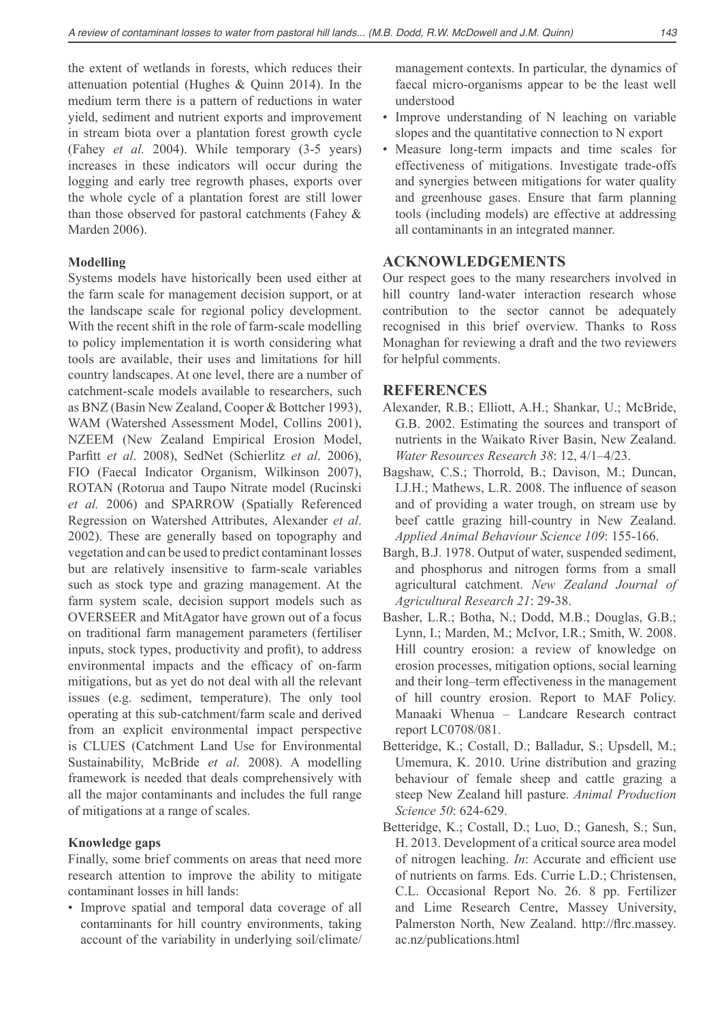the extent of wetlands in forests, which reduces their attenuation potential (Hughes & Quinn 2014). In the medium term there is a pattern of reductions in water yield, sediment and nutrient exports and improvement in stream biota over a plantation forest growth cycle (Fahey *et al.* 2004). While temporary (3-5 years) increases in these indicators will occur during the logging and early tree regrowth phases, exports over the whole cycle of a plantation forest are still lower than those observed for pastoral catchments (Fahey & Marden 2006).

#### **Modelling**

Systems models have historically been used either at the farm scale for management decision support, or at the landscape scale for regional policy development. With the recent shift in the role of farm-scale modelling to policy implementation it is worth considering what tools are available, their uses and limitations for hill country landscapes. At one level, there are a number of catchment-scale models available to researchers, such as BNZ (Basin New Zealand, Cooper & Bottcher 1993), WAM (Watershed Assessment Model, Collins 2001), NZEEM (New Zealand Empirical Erosion Model, Parfitt *et al.* 2008), SedNet (Schierlitz *et al.* 2006), FIO (Faecal Indicator Organism, Wilkinson 2007), ROTAN (Rotorua and Taupo Nitrate model (Rucinski *et al.* 2006) and SPARROW (Spatially Referenced Regression on Watershed Attributes, Alexander *et al*. 2002). These are generally based on topography and vegetation and can be used to predict contaminant losses but are relatively insensitive to farm-scale variables such as stock type and grazing management. At the farm system scale, decision support models such as OVERSEER and MitAgator have grown out of a focus on traditional farm management parameters (fertiliser inputs, stock types, productivity and profit), to address environmental impacts and the efficacy of on-farm mitigations, but as yet do not deal with all the relevant issues (e.g. sediment, temperature). The only tool operating at this sub-catchment/farm scale and derived from an explicit environmental impact perspective is CLUES (Catchment Land Use for Environmental Sustainability, McBride *et al*. 2008). A modelling framework is needed that deals comprehensively with all the major contaminants and includes the full range of mitigations at a range of scales.

## **Knowledge gaps**

Finally, some brief comments on areas that need more research attention to improve the ability to mitigate contaminant losses in hill lands:

• Improve spatial and temporal data coverage of all contaminants for hill country environments, taking account of the variability in underlying soil/climate/ management contexts. In particular, the dynamics of faecal micro-organisms appear to be the least well understood

- Improve understanding of N leaching on variable slopes and the quantitative connection to N export
- Measure long-term impacts and time scales for effectiveness of mitigations. Investigate trade-offs and synergies between mitigations for water quality and greenhouse gases. Ensure that farm planning tools (including models) are effective at addressing all contaminants in an integrated manner.

## **ACKNOWLEDGEMENTS**

Our respect goes to the many researchers involved in hill country land-water interaction research whose contribution to the sector cannot be adequately recognised in this brief overview. Thanks to Ross Monaghan for reviewing a draft and the two reviewers for helpful comments.

## **REFERENCES**

- Alexander, R.B.; Elliott, A.H.; Shankar, U.; McBride, G.B. 2002. Estimating the sources and transport of nutrients in the Waikato River Basin, New Zealand. *Water Resources Research 38*: 12, 4/1-4/23.
- Bagshaw, C.S.; Thorrold, B.; Davison, M.; Duncan, I.J.H.; Mathews, L.R. 2008. The influence of season and of providing a water trough, on stream use by beef cattle grazing hill-country in New Zealand. *Applied Animal Behaviour Science 109*: 155-166.
- Bargh, B.J. 1978. Output of water, suspended sediment, and phosphorus and nitrogen forms from a small agricultural catchment. *New Zealand Journal of Agricultural Research 21*: 29-38.
- Basher, L.R.; Botha, N.; Dodd, M.B.; Douglas, G.B.; Lynn, I.; Marden, M.; McIvor, I.R.; Smith, W. 2008. Hill country erosion: a review of knowledge on erosion processes, mitigation options, social learning and their long-term effectiveness in the management of hill country erosion. Report to MAF Policy. Manaaki Whenua - Landcare Research contract report LC0708/081.
- Betteridge, K.; Costall, D.; Balladur, S.; Upsdell, M.; Umemura, K. 2010. Urine distribution and grazing behaviour of female sheep and cattle grazing a steep New Zealand hill pasture. *Animal Production Science 50*: 624-629.
- Betteridge, K.; Costall, D.; Luo, D.; Ganesh, S.; Sun, H. 2013. Development of a critical source area model of nitrogen leaching. *In*: Accurate and efficient use of nutrients on farms*.* Eds. Currie L.D.; Christensen, C.L. Occasional Report No. 26. 8 pp. Fertilizer and Lime Research Centre, Massey University, Palmerston North, New Zealand. http://flrc.massey. ac.nz/publications.html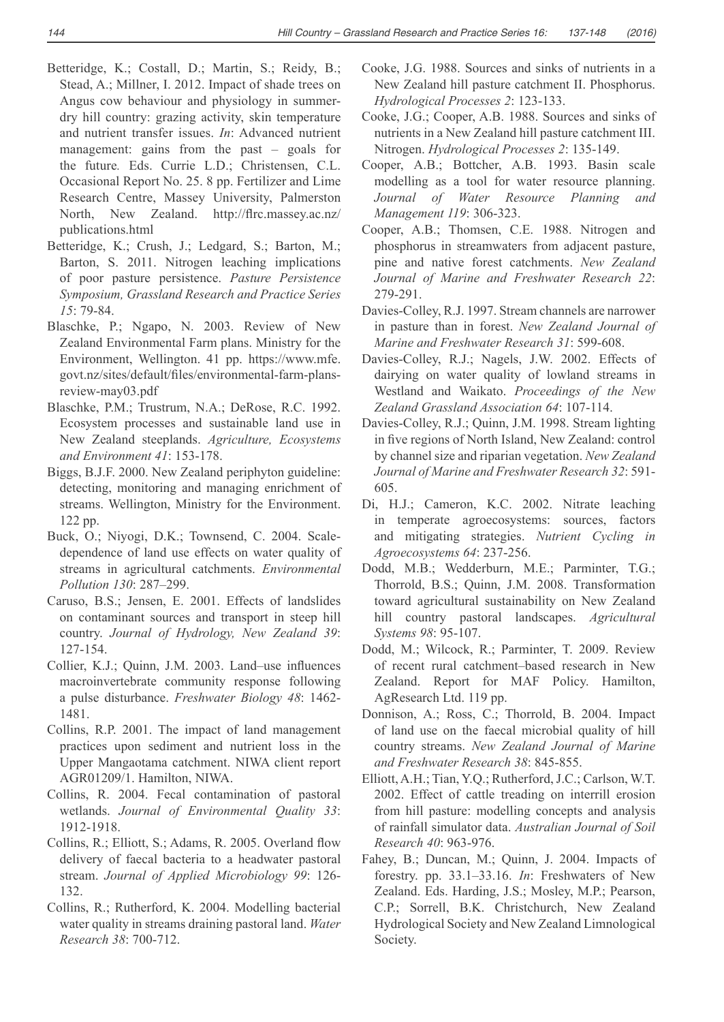- Betteridge, K.; Costall, D.; Martin, S.; Reidy, B.; Stead, A.; Millner, I. 2012. Impact of shade trees on Angus cow behaviour and physiology in summerdry hill country: grazing activity, skin temperature and nutrient transfer issues. *In*: Advanced nutrient management: gains from the past  $-$  goals for the future*.* Eds. Currie L.D.; Christensen, C.L. Occasional Report No. 25. 8 pp. Fertilizer and Lime Research Centre, Massey University, Palmerston North, New Zealand. http://flrc.massey.ac.nz/ publications.html
- Betteridge, K.; Crush, J.; Ledgard, S.; Barton, M.; Barton, S. 2011. Nitrogen leaching implications of poor pasture persistence. *Pasture Persistence Symposium, Grassland Research and Practice Series 15*: 79-84.
- Blaschke, P.; Ngapo, N. 2003. Review of New Zealand Environmental Farm plans. Ministry for the Environment, Wellington. 41 pp. https://www.mfe. govt.nz/sites/default/files/environmental-farm-plansreview-may03.pdf
- Blaschke, P.M.; Trustrum, N.A.; DeRose, R.C. 1992. Ecosystem processes and sustainable land use in New Zealand steeplands. *Agriculture, Ecosystems and Environment 41*: 153-178.
- Biggs, B.J.F. 2000. New Zealand periphyton guideline: detecting, monitoring and managing enrichment of streams. Wellington, Ministry for the Environment. 122 pp.
- Buck, O.; Niyogi, D.K.; Townsend, C. 2004. Scaledependence of land use effects on water quality of streams in agricultural catchments. *Environmental Pollution 130*±
- Caruso, B.S.; Jensen, E. 2001. Effects of landslides on contaminant sources and transport in steep hill country. *Journal of Hydrology, New Zealand 39*: 127-154.
- Collier, K.J.; Quinn, J.M. 2003. Land-use influences macroinvertebrate community response following a pulse disturbance. *Freshwater Biology 48*: 1462- 1481.
- Collins, R.P. 2001. The impact of land management practices upon sediment and nutrient loss in the Upper Mangaotama catchment. NIWA client report AGR01209/1. Hamilton, NIWA.
- Collins, R. 2004. Fecal contamination of pastoral wetlands. *Journal of Environmental Quality 33*: 1912-1918.
- Collins, R.; Elliott, S.; Adams, R. 2005. Overland flow delivery of faecal bacteria to a headwater pastoral stream. *Journal of Applied Microbiology 99*: 126- 132.
- Collins, R.; Rutherford, K. 2004. Modelling bacterial water quality in streams draining pastoral land. *Water Research 38*: 700-712.
- Cooke, J.G. 1988. Sources and sinks of nutrients in a New Zealand hill pasture catchment II. Phosphorus. *Hydrological Processes 2*: 123-133.
- Cooke, J.G.; Cooper, A.B. 1988. Sources and sinks of nutrients in a New Zealand hill pasture catchment III. Nitrogen. *Hydrological Processes 2*: 135-149.
- Cooper, A.B.; Bottcher, A.B. 1993. Basin scale modelling as a tool for water resource planning. *Journal of Water Resource Planning and Management 119*: 306-323.
- Cooper, A.B.; Thomsen, C.E. 1988. Nitrogen and phosphorus in streamwaters from adjacent pasture, pine and native forest catchments. *New Zealand Journal of Marine and Freshwater Research 22*: 279-291.
- Davies-Colley, R.J. 1997. Stream channels are narrower in pasture than in forest. *New Zealand Journal of Marine and Freshwater Research 31*: 599-608.
- Davies-Colley, R.J.; Nagels, J.W. 2002. Effects of dairying on water quality of lowland streams in Westland and Waikato. *Proceedings of the New Zealand Grassland Association 64*: 107-114.
- Davies-Colley, R.J.; Quinn, J.M. 1998. Stream lighting in five regions of North Island, New Zealand: control by channel size and riparian vegetation. *New Zealand Journal of Marine and Freshwater Research 32*: 591- 605.
- Di, H.J.; Cameron, K.C. 2002. Nitrate leaching in temperate agroecosystems: sources, factors and mitigating strategies. *Nutrient Cycling in Agroecosystems 64*: 237-256.
- Dodd, M.B.; Wedderburn, M.E.; Parminter, T.G.; Thorrold, B.S.; Quinn, J.M. 2008. Transformation toward agricultural sustainability on New Zealand hill country pastoral landscapes. *Agricultural Systems 98*: 95-107.
- Dodd, M.; Wilcock, R.; Parminter, T. 2009. Review of recent rural catchment-based research in New Zealand. Report for MAF Policy. Hamilton, AgResearch Ltd. 119 pp.
- Donnison, A.; Ross, C.; Thorrold, B. 2004. Impact of land use on the faecal microbial quality of hill country streams. *New Zealand Journal of Marine and Freshwater Research 38*: 845-855.
- Elliott, A.H.; Tian, Y.Q.; Rutherford, J.C.; Carlson, W.T. 2002. Effect of cattle treading on interrill erosion from hill pasture: modelling concepts and analysis of rainfall simulator data. *Australian Journal of Soil Research 40*: 963-976.
- Fahey, B.; Duncan, M.; Quinn, J. 2004. Impacts of forestry. pp. 33.1–33.16. In: Freshwaters of New Zealand. Eds. Harding, J.S.; Mosley, M.P.; Pearson, C.P.; Sorrell, B.K. Christchurch, New Zealand Hydrological Society and New Zealand Limnological Society.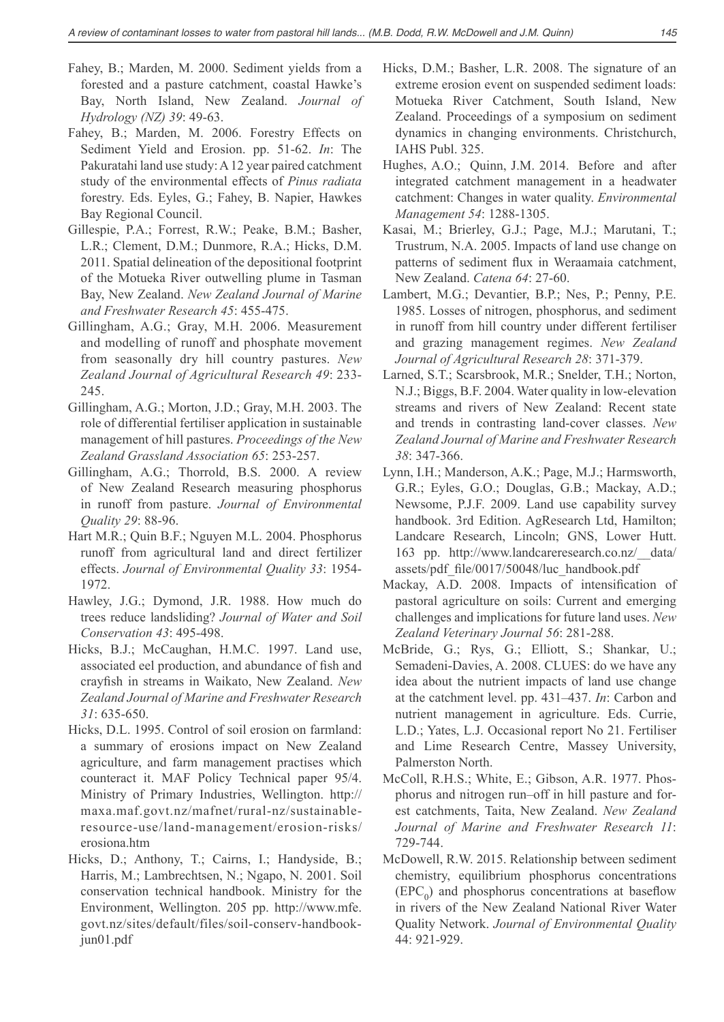- Fahey, B.; Marden, M. 2000. Sediment yields from a forested and a pasture catchment, coastal Hawke's Bay, North Island, New Zealand. *Journal of Hydrology (NZ) 39*: 49-63.
- Fahey, B.; Marden, M. 2006. Forestry Effects on Sediment Yield and Erosion. pp. 51-62. *In*: The Pakuratahi land use study: A 12 year paired catchment study of the environmental effects of *Pinus radiata* forestry. Eds. Eyles, G.; Fahey, B. Napier, Hawkes Bay Regional Council.
- Gillespie, P.A.; Forrest, R.W.; Peake, B.M.; Basher, L.R.; Clement, D.M.; Dunmore, R.A.; Hicks, D.M. 2011. Spatial delineation of the depositional footprint of the Motueka River outwelling plume in Tasman Bay, New Zealand. *New Zealand Journal of Marine and Freshwater Research 45*: 455-475.
- Gillingham, A.G.; Gray, M.H. 2006. Measurement and modelling of runoff and phosphate movement from seasonally dry hill country pastures. *New Zealand Journal of Agricultural Research 49*: 233- 245.
- Gillingham, A.G.; Morton, J.D.; Gray, M.H. 2003. The role of differential fertiliser application in sustainable management of hill pastures. *Proceedings of the New Zealand Grassland Association 65*: 253-257.
- Gillingham, A.G.; Thorrold, B.S. 2000. A review of New Zealand Research measuring phosphorus in runoff from pasture. *Journal of Environmental Quality 29*: 88-96.
- Hart M.R.; Quin B.F.; Nguyen M.L. 2004. Phosphorus runoff from agricultural land and direct fertilizer effects. *Journal of Environmental Quality 33*: 1954- 1972.
- Hawley, J.G.; Dymond, J.R. 1988. How much do trees reduce landsliding? *Journal of Water and Soil Conservation 43*: 495-498.
- Hicks, B.J.; McCaughan, H.M.C. 1997. Land use, associated eel production, and abundance of fish and crayfish in streams in Waikato, New Zealand. New *Zealand Journal of Marine and Freshwater Research 31*: 635-650.
- Hicks, D.L. 1995. Control of soil erosion on farmland: a summary of erosions impact on New Zealand agriculture, and farm management practises which counteract it. MAF Policy Technical paper 95/4. Ministry of Primary Industries, Wellington. http:// maxa.maf.govt.nz/mafnet/rural-nz/sustainableresource-use/land-management/erosion-risks/ erosiona.htm
- Hicks, D.; Anthony, T.; Cairns, I.; Handyside, B.; Harris, M.; Lambrechtsen, N.; Ngapo, N. 2001. Soil conservation technical handbook. Ministry for the Environment, Wellington. 205 pp. http://www.mfe. govt.nz/sites/default/files/soil-conserv-handbookjun01.pdf
- Hicks, D.M.; Basher, L.R. 2008. The signature of an extreme erosion event on suspended sediment loads: Motueka River Catchment, South Island, New Zealand. Proceedings of a symposium on sediment dynamics in changing environments. Christchurch, IAHS Publ. 325.
- Hughes, A.O.; Quinn, J.M. 2014. Before and after integrated catchment management in a headwater catchment: Changes in water quality. *Environmental Management 54*: 1288-1305.
- Kasai, M.; Brierley, G.J.; Page, M.J.; Marutani, T.; Trustrum, N.A. 2005. Impacts of land use change on patterns of sediment flux in Weraamaia catchment. New Zealand. *Catena 64*: 27-60.
- Lambert, M.G.; Devantier, B.P.; Nes, P.; Penny, P.E. 1985. Losses of nitrogen, phosphorus, and sediment in runoff from hill country under different fertiliser and grazing management regimes. *New Zealand Journal of Agricultural Research 28*: 371-379.
- Larned, S.T.; Scarsbrook, M.R.; Snelder, T.H.; Norton, N.J.; Biggs, B.F. 2004. Water quality in low-elevation streams and rivers of New Zealand: Recent state and trends in contrasting land-cover classes. *New Zealand Journal of Marine and Freshwater Research 38*: 347-366.
- Lynn, I.H.; Manderson, A.K.; Page, M.J.; Harmsworth, G.R.; Eyles, G.O.; Douglas, G.B.; Mackay, A.D.; Newsome, P.J.F. 2009. Land use capability survey handbook. 3rd Edition. AgResearch Ltd, Hamilton; Landcare Research, Lincoln; GNS, Lower Hutt. 163 pp. http://www.landcareresearch.co.nz/ data/ assets/pdf file/0017/50048/luc handbook.pdf
- Mackay, A.D. 2008. Impacts of intensification of pastoral agriculture on soils: Current and emerging challenges and implications for future land uses. *New Zealand Veterinary Journal 56*: 281-288.
- McBride, G.; Rys, G.; Elliott, S.; Shankar, U.; Semadeni-Davies, A. 2008. CLUES: do we have any idea about the nutrient impacts of land use change at the catchment level. pp. 431–437. *In*: Carbon and nutrient management in agriculture. Eds. Currie, L.D.; Yates, L.J. Occasional report No 21. Fertiliser and Lime Research Centre, Massey University, Palmerston North.
- McColl, R.H.S.; White, E.; Gibson, A.R. 1977. Phosphorus and nitrogen run-off in hill pasture and forest catchments, Taita, New Zealand. *New Zealand Journal of Marine and Freshwater Research 11*: 729-744.
- McDowell, R.W. 2015. Relationship between sediment chemistry, equilibrium phosphorus concentrations  $(EPC<sub>0</sub>)$  and phosphorus concentrations at baseflow in rivers of the New Zealand National River Water Quality Network. *Journal of Environmental Quality* 44: 921-929.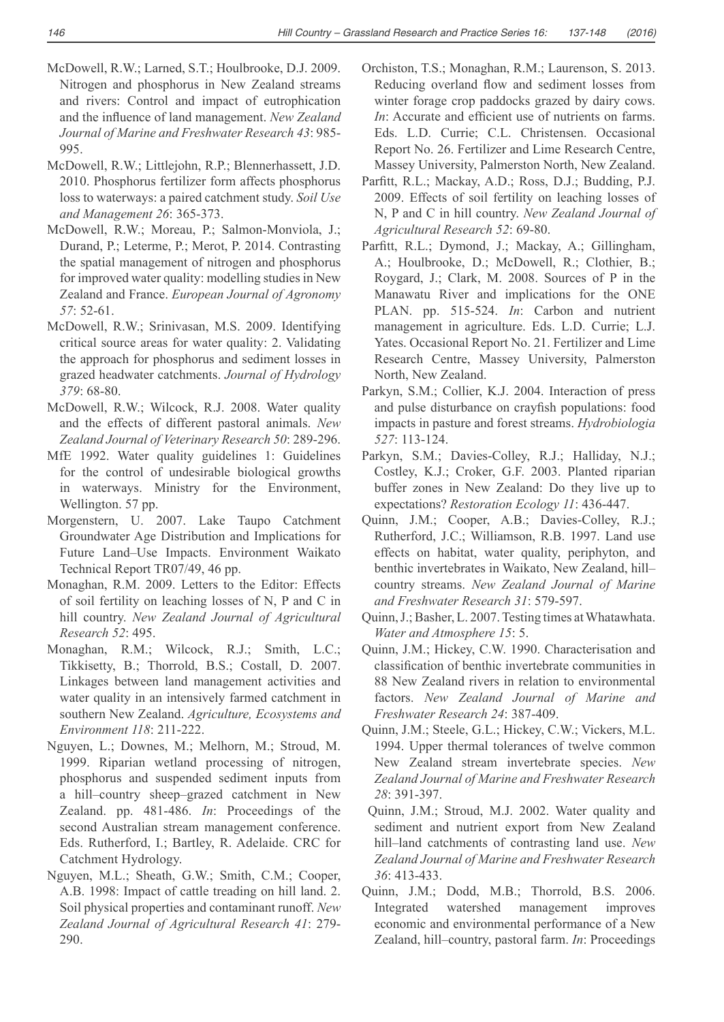- McDowell, R.W.; Larned, S.T.; Houlbrooke, D.J. 2009. Nitrogen and phosphorus in New Zealand streams and rivers: Control and impact of eutrophication and the influence of land management. New Zealand *Journal of Marine and Freshwater Research 43*: 985- 995.
- McDowell, R.W.; Littlejohn, R.P.; Blennerhassett, J.D. 2010. Phosphorus fertilizer form affects phosphorus loss to waterways: a paired catchment study. *Soil Use and Management 26*: 365-373.
- McDowell, R.W.; Moreau, P.; Salmon-Monviola, J.; Durand, P.; Leterme, P.; Merot, P. 2014. Contrasting the spatial management of nitrogen and phosphorus for improved water quality: modelling studies in New Zealand and France. *European Journal of Agronomy 57*: 52-61.
- McDowell, R.W.; Srinivasan, M.S. 2009. Identifying critical source areas for water quality: 2. Validating the approach for phosphorus and sediment losses in grazed headwater catchments. *Journal of Hydrology 379*: 68-80.
- McDowell, R.W.; Wilcock, R.J. 2008. Water quality and the effects of different pastoral animals. *New Zealand Journal of Veterinary Research 50*: 289-296.
- MfE 1992. Water quality guidelines 1: Guidelines for the control of undesirable biological growths in waterways. Ministry for the Environment, Wellington. 57 pp.
- Morgenstern, U. 2007. Lake Taupo Catchment Groundwater Age Distribution and Implications for Future Land-Use Impacts. Environment Waikato Technical Report TR07/49, 46 pp.
- Monaghan, R.M. 2009. Letters to the Editor: Effects of soil fertility on leaching losses of N, P and C in hill country. *New Zealand Journal of Agricultural Research 52*: 495.
- Monaghan, R.M.; Wilcock, R.J.; Smith, L.C.; Tikkisetty, B.; Thorrold, B.S.; Costall, D. 2007. Linkages between land management activities and water quality in an intensively farmed catchment in southern New Zealand. *Agriculture, Ecosystems and Environment 118*: 211-222.
- Nguyen, L.; Downes, M.; Melhorn, M.; Stroud, M. 1999. Riparian wetland processing of nitrogen, phosphorus and suspended sediment inputs from a hill-country sheep-grazed catchment in New Zealand. pp. 481-486. *In*: Proceedings of the second Australian stream management conference. Eds. Rutherford, I.; Bartley, R. Adelaide. CRC for Catchment Hydrology.
- Nguyen, M.L.; Sheath, G.W.; Smith, C.M.; Cooper, A.B. 1998: Impact of cattle treading on hill land. 2. Soil physical properties and contaminant runoff. *New Zealand Journal of Agricultural Research 41*: 279- 290.
- Orchiston, T.S.; Monaghan, R.M.; Laurenson, S. 2013. Reducing overland flow and sediment losses from winter forage crop paddocks grazed by dairy cows. *In*: Accurate and efficient use of nutrients on farms. Eds. L.D. Currie; C.L. Christensen. Occasional Report No. 26. Fertilizer and Lime Research Centre, Massey University, Palmerston North, New Zealand.
- Parfitt, R.L.; Mackay, A.D.; Ross, D.J.; Budding, P.J. 2009. Effects of soil fertility on leaching losses of N, P and C in hill country. *New Zealand Journal of Agricultural Research 52*: 69-80.
- Parfitt, R.L.; Dymond, J.; Mackay, A.; Gillingham, A.; Houlbrooke, D.; McDowell, R.; Clothier, B.; Roygard, J.; Clark, M. 2008. Sources of P in the Manawatu River and implications for the ONE PLAN. pp. 515-524. *In*: Carbon and nutrient management in agriculture. Eds. L.D. Currie; L.J. Yates. Occasional Report No. 21. Fertilizer and Lime Research Centre, Massey University, Palmerston North, New Zealand.
- Parkyn, S.M.; Collier, K.J. 2004. Interaction of press and pulse disturbance on crayfish populations: food impacts in pasture and forest streams. *Hydrobiologia 527*: 113-124.
- Parkyn, S.M.; Davies-Colley, R.J.; Halliday, N.J.; Costley, K.J.; Croker, G.F. 2003. Planted riparian buffer zones in New Zealand: Do they live up to expectations? *Restoration Ecology 11*: 436-447.
- Quinn, J.M.; Cooper, A.B.; Davies-Colley, R.J.; Rutherford, J.C.; Williamson, R.B. 1997. Land use effects on habitat, water quality, periphyton, and benthic invertebrates in Waikato, New Zealand, hillcountry streams. *New Zealand Journal of Marine and Freshwater Research 31*: 579-597.
- Quinn, J.; Basher, L. 2007. Testing times at Whatawhata. *Water and Atmosphere 15*: 5.
- Quinn, J.M.; Hickey, C.W. 1990. Characterisation and classification of benthic invertebrate communities in 88 New Zealand rivers in relation to environmental factors. *New Zealand Journal of Marine and Freshwater Research 24*: 387-409.
- Quinn, J.M.; Steele, G.L.; Hickey, C.W.; Vickers, M.L. 1994. Upper thermal tolerances of twelve common New Zealand stream invertebrate species. *New Zealand Journal of Marine and Freshwater Research 28*: 391-397.
- Quinn, J.M.; Stroud, M.J. 2002. Water quality and sediment and nutrient export from New Zealand hill-land catchments of contrasting land use. New *Zealand Journal of Marine and Freshwater Research 36*: 413-433.
- Quinn, J.M.; Dodd, M.B.; Thorrold, B.S. 2006. Integrated watershed management improves economic and environmental performance of a New Zealand, hill-country, pastoral farm. In: Proceedings